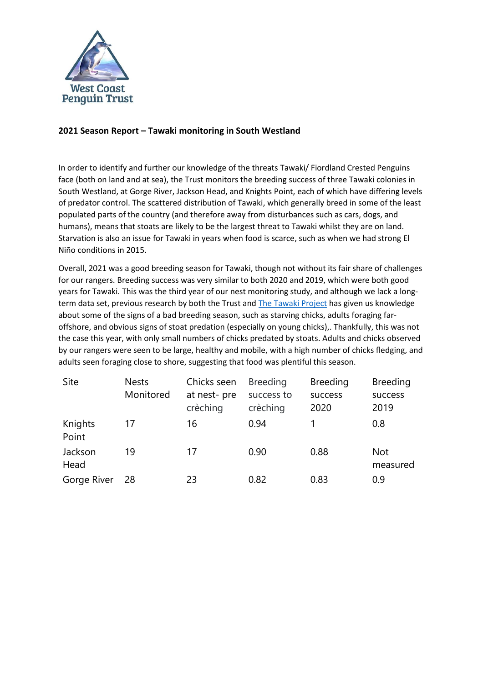

## **2021 Season Report – Tawaki monitoring in South Westland**

In order to identify and further our knowledge of the threats Tawaki/ Fiordland Crested Penguins face (both on land and at sea), the Trust monitors the breeding success of three Tawaki colonies in South Westland, at Gorge River, Jackson Head, and Knights Point, each of which have differing levels of predator control. The scattered distribution of Tawaki, which generally breed in some of the least populated parts of the country (and therefore away from disturbances such as cars, dogs, and humans), means that stoats are likely to be the largest threat to Tawaki whilst they are on land. Starvation is also an issue for Tawaki in years when food is scarce, such as when we had strong El Niño conditions in 2015.

Overall, 2021 was a good breeding season for Tawaki, though not without its fair share of challenges for our rangers. Breeding success was very similar to both 2020 and 2019, which were both good years for Tawaki. This was the third year of our nest monitoring study, and although we lack a long-term data set, previous research by both the Trust and [The Tawaki Project](https://www.tawaki-project.org/) has given us knowledge about some of the signs of a bad breeding season, such as starving chicks, adults foraging faroffshore, and obvious signs of stoat predation (especially on young chicks),. Thankfully, this was not the case this year, with only small numbers of chicks predated by stoats. Adults and chicks observed by our rangers were seen to be large, healthy and mobile, with a high number of chicks fledging, and adults seen foraging close to shore, suggesting that food was plentiful this season.

| Site             | <b>Nests</b><br>Monitored | Chicks seen<br>at nest-pre<br>crèching | <b>Breeding</b><br>success to<br>crèching | <b>Breeding</b><br>success<br>2020 | <b>Breeding</b><br>success<br>2019 |
|------------------|---------------------------|----------------------------------------|-------------------------------------------|------------------------------------|------------------------------------|
| Knights<br>Point | 17                        | 16                                     | 0.94                                      |                                    | 0.8                                |
| Jackson<br>Head  | 19                        | 17                                     | 0.90                                      | 0.88                               | <b>Not</b><br>measured             |
| Gorge River      | 28                        | 23                                     | 0.82                                      | 0.83                               | 0.9                                |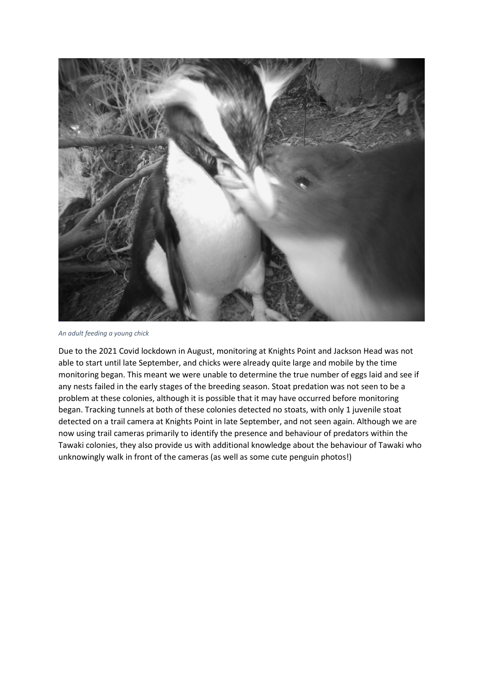

*An adult feeding a young chick*

Due to the 2021 Covid lockdown in August, monitoring at Knights Point and Jackson Head was not able to start until late September, and chicks were already quite large and mobile by the time monitoring began. This meant we were unable to determine the true number of eggs laid and see if any nests failed in the early stages of the breeding season. Stoat predation was not seen to be a problem at these colonies, although it is possible that it may have occurred before monitoring began. Tracking tunnels at both of these colonies detected no stoats, with only 1 juvenile stoat detected on a trail camera at Knights Point in late September, and not seen again. Although we are now using trail cameras primarily to identify the presence and behaviour of predators within the Tawaki colonies, they also provide us with additional knowledge about the behaviour of Tawaki who unknowingly walk in front of the cameras (as well as some cute penguin photos!)